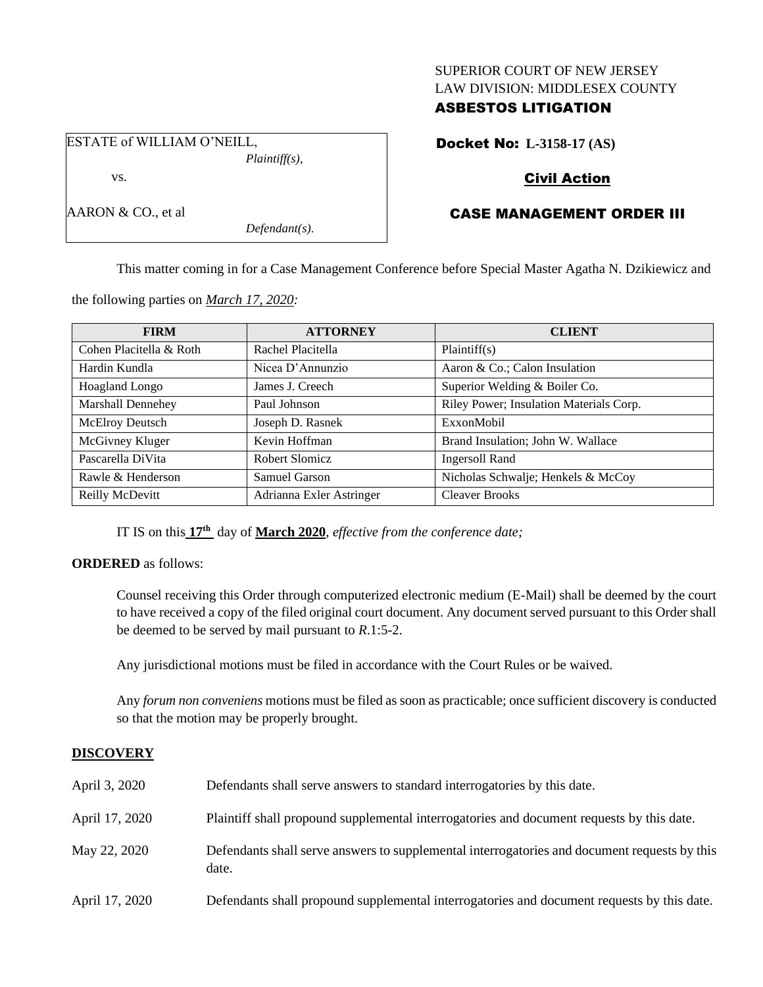## SUPERIOR COURT OF NEW JERSEY LAW DIVISION: MIDDLESEX COUNTY

# ASBESTOS LITIGATION

ESTATE of WILLIAM O'NEILL, *Plaintiff(s),*

vs.

AARON & CO., et al

Docket No: **L-3158-17 (AS)**

# Civil Action

# CASE MANAGEMENT ORDER III

This matter coming in for a Case Management Conference before Special Master Agatha N. Dzikiewicz and

| <b>FIRM</b>              | <b>ATTORNEY</b>          | <b>CLIENT</b>                           |
|--------------------------|--------------------------|-----------------------------------------|
| Cohen Placitella & Roth  | Rachel Placitella        | Plaintiff(s)                            |
| Hardin Kundla            | Nicea D'Annunzio         | Aaron & Co.; Calon Insulation           |
| <b>Hoagland Longo</b>    | James J. Creech          | Superior Welding & Boiler Co.           |
| <b>Marshall Dennehey</b> | Paul Johnson             | Riley Power; Insulation Materials Corp. |
| McElroy Deutsch          | Joseph D. Rasnek         | ExxonMobil                              |
| McGivney Kluger          | Kevin Hoffman            | Brand Insulation; John W. Wallace       |
| Pascarella DiVita        | Robert Slomicz           | <b>Ingersoll Rand</b>                   |
| Rawle & Henderson        | Samuel Garson            | Nicholas Schwalje; Henkels & McCoy      |
| Reilly McDevitt          | Adrianna Exler Astringer | <b>Cleaver Brooks</b>                   |

the following parties on *March 17, 2020:*

IT IS on this **17th** day of **March 2020**, *effective from the conference date;*

*Defendant(s).*

## **ORDERED** as follows:

Counsel receiving this Order through computerized electronic medium (E-Mail) shall be deemed by the court to have received a copy of the filed original court document. Any document served pursuant to this Order shall be deemed to be served by mail pursuant to *R*.1:5-2.

Any jurisdictional motions must be filed in accordance with the Court Rules or be waived.

Any *forum non conveniens* motions must be filed as soon as practicable; once sufficient discovery is conducted so that the motion may be properly brought.

## **DISCOVERY**

| April 3, 2020  | Defendants shall serve answers to standard interrogatories by this date.                              |
|----------------|-------------------------------------------------------------------------------------------------------|
| April 17, 2020 | Plaintiff shall propound supplemental interrogatories and document requests by this date.             |
| May 22, 2020   | Defendants shall serve answers to supplemental interrogatories and document requests by this<br>date. |
| April 17, 2020 | Defendants shall propound supplemental interrogatories and document requests by this date.            |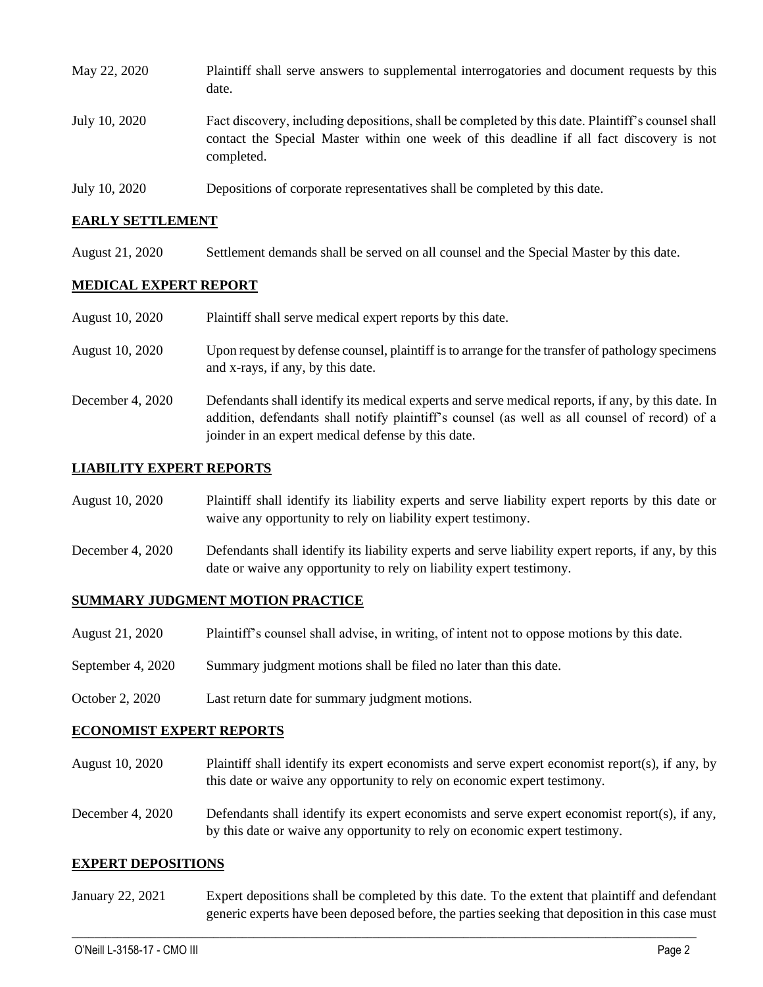| May 22, 2020  | Plaintiff shall serve answers to supplemental interrogatories and document requests by this<br>date.                                                                                                        |
|---------------|-------------------------------------------------------------------------------------------------------------------------------------------------------------------------------------------------------------|
| July 10, 2020 | Fact discovery, including depositions, shall be completed by this date. Plaintiff's counsel shall<br>contact the Special Master within one week of this deadline if all fact discovery is not<br>completed. |
| July 10, 2020 | Depositions of corporate representatives shall be completed by this date.                                                                                                                                   |

#### **EARLY SETTLEMENT**

August 21, 2020 Settlement demands shall be served on all counsel and the Special Master by this date.

## **MEDICAL EXPERT REPORT**

| August 10, 2020  | Plaintiff shall serve medical expert reports by this date.                                                                                                                                                                                               |
|------------------|----------------------------------------------------------------------------------------------------------------------------------------------------------------------------------------------------------------------------------------------------------|
| August 10, 2020  | Upon request by defense counsel, plaintiff is to arrange for the transfer of pathology specimens<br>and x-rays, if any, by this date.                                                                                                                    |
| December 4, 2020 | Defendants shall identify its medical experts and serve medical reports, if any, by this date. In<br>addition, defendants shall notify plaintiff's counsel (as well as all counsel of record) of a<br>joinder in an expert medical defense by this date. |

## **LIABILITY EXPERT REPORTS**

| August 10, 2020      | Plaintiff shall identify its liability experts and serve liability expert reports by this date or<br>waive any opportunity to rely on liability expert testimony. |
|----------------------|-------------------------------------------------------------------------------------------------------------------------------------------------------------------|
| Docombor $\ell$ 2020 | Defendante shall identify its lightlity experts and serve lightlity expert reports if any by this                                                                 |

December 4, 2020 Defendants shall identify its liability experts and serve liability expert reports, if any, by this date or waive any opportunity to rely on liability expert testimony.

#### **SUMMARY JUDGMENT MOTION PRACTICE**

- August 21, 2020 Plaintiff's counsel shall advise, in writing, of intent not to oppose motions by this date.
- September 4, 2020 Summary judgment motions shall be filed no later than this date.
- October 2, 2020 Last return date for summary judgment motions.

#### **ECONOMIST EXPERT REPORTS**

- August 10, 2020 Plaintiff shall identify its expert economists and serve expert economist report(s), if any, by this date or waive any opportunity to rely on economic expert testimony.
- December 4, 2020 Defendants shall identify its expert economists and serve expert economist report(s), if any, by this date or waive any opportunity to rely on economic expert testimony.

#### **EXPERT DEPOSITIONS**

January 22, 2021 Expert depositions shall be completed by this date. To the extent that plaintiff and defendant generic experts have been deposed before, the parties seeking that deposition in this case must

 $\_$  , and the set of the set of the set of the set of the set of the set of the set of the set of the set of the set of the set of the set of the set of the set of the set of the set of the set of the set of the set of th